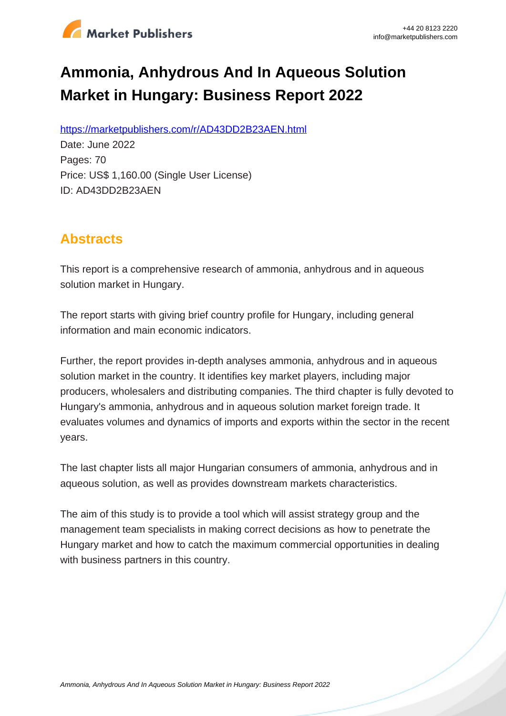

# **Ammonia, Anhydrous And In Aqueous Solution Market in Hungary: Business Report 2022**

https://marketpublishers.com/r/AD43DD2B23AEN.html

Date: June 2022 Pages: 70 Price: US\$ 1,160.00 (Single User License) ID: AD43DD2B23AEN

# **Abstracts**

This report is a comprehensive research of ammonia, anhydrous and in aqueous solution market in Hungary.

The report starts with giving brief country profile for Hungary, including general information and main economic indicators.

Further, the report provides in-depth analyses ammonia, anhydrous and in aqueous solution market in the country. It identifies key market players, including major producers, wholesalers and distributing companies. The third chapter is fully devoted to Hungary's ammonia, anhydrous and in aqueous solution market foreign trade. It evaluates volumes and dynamics of imports and exports within the sector in the recent years.

The last chapter lists all major Hungarian consumers of ammonia, anhydrous and in aqueous solution, as well as provides downstream markets characteristics.

The aim of this study is to provide a tool which will assist strategy group and the management team specialists in making correct decisions as how to penetrate the Hungary market and how to catch the maximum commercial opportunities in dealing with business partners in this country.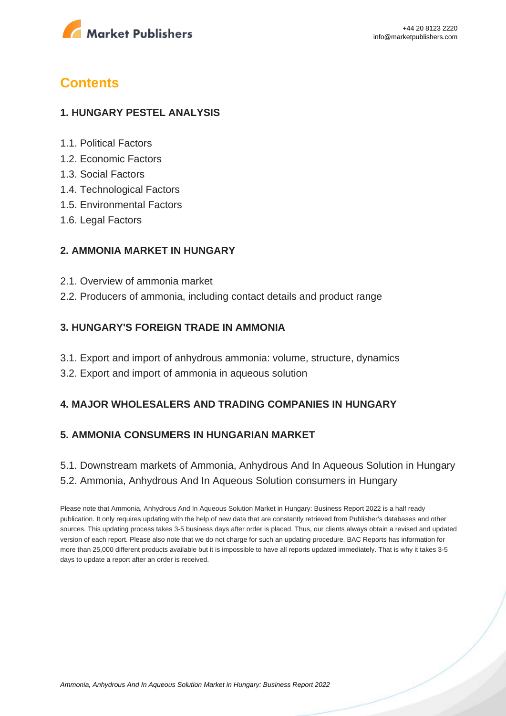

## **Contents**

#### **1. HUNGARY PESTEL ANALYSIS**

- 1.1. Political Factors
- 1.2. Economic Factors
- 1.3. Social Factors
- 1.4. Technological Factors
- 1.5. Environmental Factors
- 1.6. Legal Factors

#### **2. AMMONIA MARKET IN HUNGARY**

- 2.1. Overview of ammonia market
- 2.2. Producers of ammonia, including contact details and product range

#### **3. HUNGARY'S FOREIGN TRADE IN AMMONIA**

- 3.1. Export and import of anhydrous ammonia: volume, structure, dynamics
- 3.2. Export and import of ammonia in aqueous solution

### **4. MAJOR WHOLESALERS AND TRADING COMPANIES IN HUNGARY**

#### **5. AMMONIA CONSUMERS IN HUNGARIAN MARKET**

5.1. Downstream markets of Ammonia, Anhydrous And In Aqueous Solution in Hungary 5.2. Ammonia, Anhydrous And In Aqueous Solution consumers in Hungary

Please note that Ammonia, Anhydrous And In Aqueous Solution Market in Hungary: Business Report 2022 is a half ready publication. It only requires updating with the help of new data that are constantly retrieved from Publisher's databases and other sources. This updating process takes 3-5 business days after order is placed. Thus, our clients always obtain a revised and updated version of each report. Please also note that we do not charge for such an updating procedure. BAC Reports has information for more than 25,000 different products available but it is impossible to have all reports updated immediately. That is why it takes 3-5 days to update a report after an order is received.